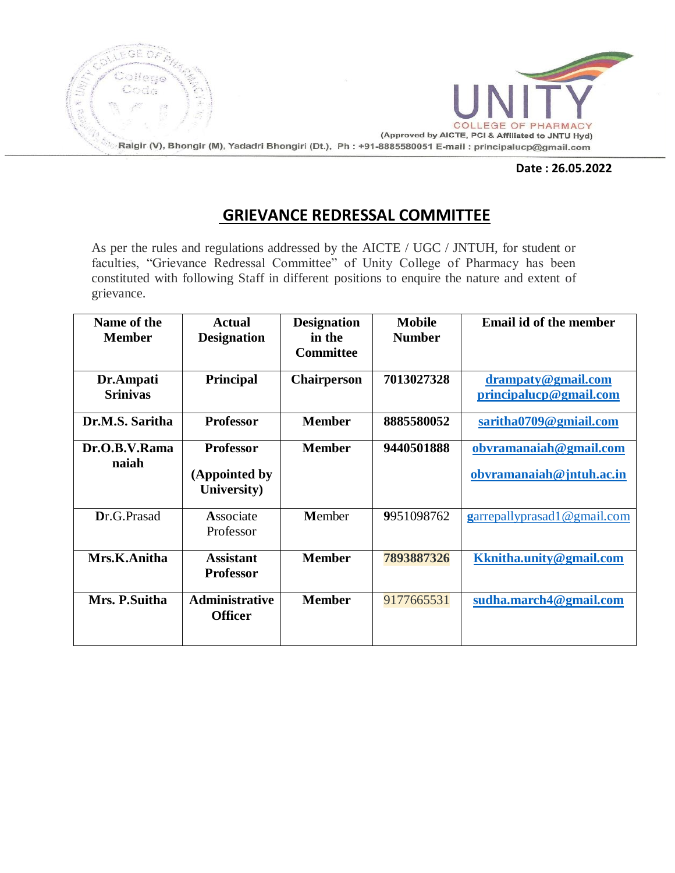

#### **Date : 26.05.2022**

# **GRIEVANCE REDRESSAL COMMITTEE**

As per the rules and regulations addressed by the AICTE / UGC / JNTUH, for student or faculties, "Grievance Redressal Committee" of Unity College of Pharmacy has been constituted with following Staff in different positions to enquire the nature and extent of grievance.

| Name of the<br><b>Member</b> | <b>Actual</b><br><b>Designation</b>              | <b>Designation</b><br>in the<br><b>Committee</b> | <b>Mobile</b><br><b>Number</b> | Email id of the member                             |
|------------------------------|--------------------------------------------------|--------------------------------------------------|--------------------------------|----------------------------------------------------|
| Dr.Ampati<br><b>Srinivas</b> | <b>Principal</b>                                 | <b>Chairperson</b>                               | 7013027328                     | drampaty@gmail.com<br>principalucp@gmail.com       |
| Dr.M.S. Saritha              | <b>Professor</b>                                 | <b>Member</b>                                    | 8885580052                     | saritha0709@gmiail.com                             |
| Dr.O.B.V.Rama<br>naiah       | <b>Professor</b><br>(Appointed by<br>University) | <b>Member</b>                                    | 9440501888                     | obvramanaiah@gmail.com<br>obvramanaiah@jntuh.ac.in |
| Dr.G.Prasad                  | Associate<br>Professor                           | Member                                           | 9951098762                     | garrepallyprasad1@gmail.com                        |
| Mrs.K.Anitha                 | <b>Assistant</b><br><b>Professor</b>             | <b>Member</b>                                    | 7893887326                     | Kknitha.unity@gmail.com                            |
| Mrs. P. Suitha               | <b>Administrative</b><br><b>Officer</b>          | <b>Member</b>                                    | 9177665531                     | sudha.march4@gmail.com                             |